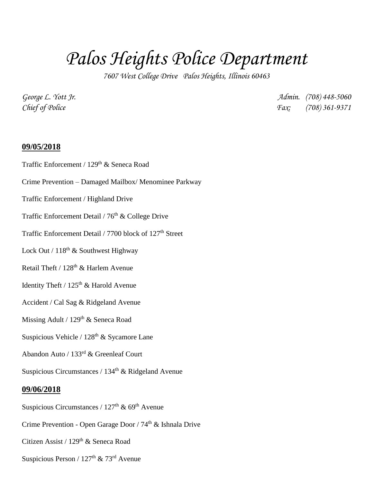# *Palos Heights Police Department*

*7607 West College Drive Palos Heights, Illinois 60463*

*George L. Yott Jr. Admin. (708) 448-5060 Chief of Police Fax: (708) 361-9371*

## **09/05/2018**

Traffic Enforcement / 129<sup>th</sup> & Seneca Road

- Crime Prevention Damaged Mailbox/ Menominee Parkway
- Traffic Enforcement / Highland Drive
- Traffic Enforcement Detail /  $76<sup>th</sup>$  & College Drive
- Traffic Enforcement Detail / 7700 block of 127<sup>th</sup> Street
- Lock Out /  $118<sup>th</sup>$  & Southwest Highway
- Retail Theft /  $128<sup>th</sup>$  & Harlem Avenue
- Identity Theft /  $125<sup>th</sup>$  & Harold Avenue
- Accident / Cal Sag & Ridgeland Avenue
- Missing Adult / 129<sup>th</sup> & Seneca Road
- Suspicious Vehicle /  $128<sup>th</sup>$  & Sycamore Lane
- Abandon Auto / 133rd & Greenleaf Court

Suspicious Circumstances /  $134<sup>th</sup>$  & Ridgeland Avenue

### **09/06/2018**

Suspicious Circumstances /  $127<sup>th</sup>$  & 69<sup>th</sup> Avenue

Crime Prevention - Open Garage Door / 74<sup>th</sup> & Ishnala Drive

- Citizen Assist / 129<sup>th</sup> & Seneca Road
- Suspicious Person /  $127<sup>th</sup>$  &  $73<sup>rd</sup>$  Avenue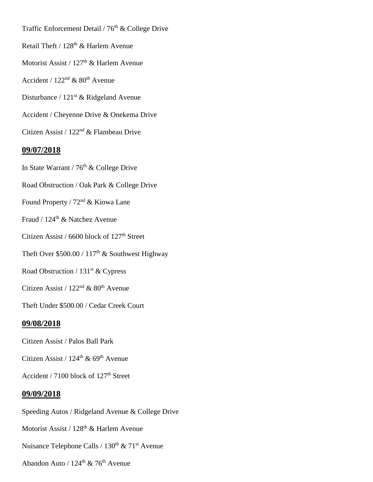Traffic Enforcement Detail /  $76<sup>th</sup>$  & College Drive

- Retail Theft / 128<sup>th</sup> & Harlem Avenue
- Motorist Assist / 127<sup>th</sup> & Harlem Avenue
- Accident /  $122<sup>nd</sup>$  &  $80<sup>th</sup>$  Avenue
- Disturbance / 121<sup>st</sup> & Ridgeland Avenue
- Accident / Cheyenne Drive & Onekema Drive
- Citizen Assist / 122nd & Flambeau Drive

## **09/07/2018**

- In State Warrant /  $76<sup>th</sup>$  & College Drive
- Road Obstruction / Oak Park & College Drive
- Found Property / 72nd & Kiowa Lane
- Fraud / 124th & Natchez Avenue
- Citizen Assist / 6600 block of  $127<sup>th</sup>$  Street
- Theft Over  $$500.00 / 117<sup>th</sup>$  & Southwest Highway
- Road Obstruction /  $131<sup>st</sup>$  & Cypress
- Citizen Assist /  $122<sup>nd</sup>$  &  $80<sup>th</sup>$  Avenue
- Theft Under \$500.00 / Cedar Creek Court

### **09/08/2018**

- Citizen Assist / Palos Ball Park
- Citizen Assist /  $124^{\text{th}}$  &  $69^{\text{th}}$  Avenue
- Accident / 7100 block of 127<sup>th</sup> Street

### **09/09/2018**

- Speeding Autos / Ridgeland Avenue & College Drive Motorist Assist / 128<sup>th</sup> & Harlem Avenue Nuisance Telephone Calls /  $130<sup>th</sup>$  &  $71<sup>st</sup>$  Avenue
- Abandon Auto /  $124^{\text{th}}$  &  $76^{\text{th}}$  Avenue